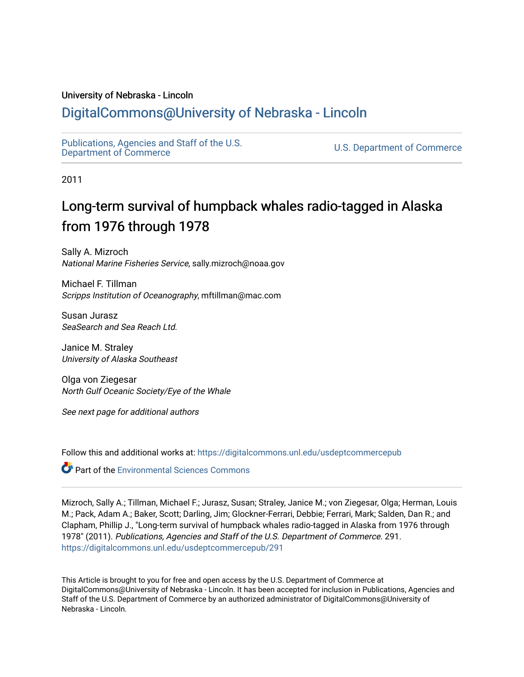## University of Nebraska - Lincoln

# [DigitalCommons@University of Nebraska - Lincoln](https://digitalcommons.unl.edu/)

[Publications, Agencies and Staff of the U.S.](https://digitalcommons.unl.edu/usdeptcommercepub)

U.S. [Department of Commerce](https://digitalcommons.unl.edu/usdeptcommercepub)

2011

# Long-term survival of humpback whales radio-tagged in Alaska from 1976 through 1978

Sally A. Mizroch National Marine Fisheries Service, sally.mizroch@noaa.gov

Michael F. Tillman Scripps Institution of Oceanography, mftillman@mac.com

Susan Jurasz SeaSearch and Sea Reach Ltd.

Janice M. Straley University of Alaska Southeast

Olga von Ziegesar North Gulf Oceanic Society/Eye of the Whale

See next page for additional authors

Follow this and additional works at: [https://digitalcommons.unl.edu/usdeptcommercepub](https://digitalcommons.unl.edu/usdeptcommercepub?utm_source=digitalcommons.unl.edu%2Fusdeptcommercepub%2F291&utm_medium=PDF&utm_campaign=PDFCoverPages)

Part of the [Environmental Sciences Commons](http://network.bepress.com/hgg/discipline/167?utm_source=digitalcommons.unl.edu%2Fusdeptcommercepub%2F291&utm_medium=PDF&utm_campaign=PDFCoverPages)

Mizroch, Sally A.; Tillman, Michael F.; Jurasz, Susan; Straley, Janice M.; von Ziegesar, Olga; Herman, Louis M.; Pack, Adam A.; Baker, Scott; Darling, Jim; Glockner-Ferrari, Debbie; Ferrari, Mark; Salden, Dan R.; and Clapham, Phillip J., "Long-term survival of humpback whales radio-tagged in Alaska from 1976 through 1978" (2011). Publications, Agencies and Staff of the U.S. Department of Commerce. 291. [https://digitalcommons.unl.edu/usdeptcommercepub/291](https://digitalcommons.unl.edu/usdeptcommercepub/291?utm_source=digitalcommons.unl.edu%2Fusdeptcommercepub%2F291&utm_medium=PDF&utm_campaign=PDFCoverPages) 

This Article is brought to you for free and open access by the U.S. Department of Commerce at DigitalCommons@University of Nebraska - Lincoln. It has been accepted for inclusion in Publications, Agencies and Staff of the U.S. Department of Commerce by an authorized administrator of DigitalCommons@University of Nebraska - Lincoln.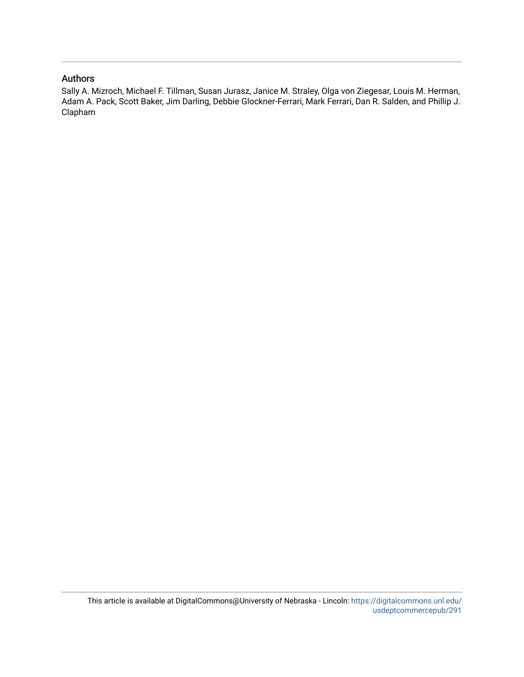## Authors

Sally A. Mizroch, Michael F. Tillman, Susan Jurasz, Janice M. Straley, Olga von Ziegesar, Louis M. Herman, Adam A. Pack, Scott Baker, Jim Darling, Debbie Glockner-Ferrari, Mark Ferrari, Dan R. Salden, and Phillip J. Clapham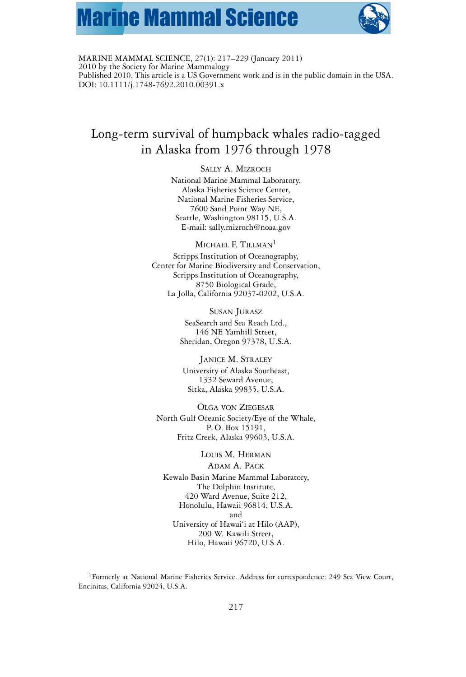# **Marine Mammal Science**



MARINE MAMMAL SCIENCE, 27(1): 217–229 (January 2011) 2010 by the Society for Marine Mammalogy Published 2010. This article is a US Government work and is in the public domain in the USA. DOI: 10.1111/j.1748-7692.2010.00391.x

# Long-term survival of humpback whales radio-tagged in Alaska from 1976 through 1978

#### SALLY A. MIZROCH

National Marine Mammal Laboratory, Alaska Fisheries Science Center, National Marine Fisheries Service, 7600 Sand Point Way NE, Seattle, Washington 98115, U.S.A. E-mail: sally.mizroch@noaa.gov

MICHAEL F. TILLMAN<sup>1</sup> Scripps Institution of Oceanography, Center for Marine Biodiversity and Conservation, Scripps Institution of Oceanography, 8750 Biological Grade, La Jolla, California 92037-0202, U.S.A.

> SUSAN JURASZ SeaSearch and Sea Reach Ltd., 146 NE Yamhill Street, Sheridan, Oregon 97378, U.S.A.

JANICE M. STRALEY University of Alaska Southeast, 1332 Seward Avenue, Sitka, Alaska 99835, U.S.A.

OLGA VON ZIEGESAR North Gulf Oceanic Society/Eye of the Whale, P. O. Box 15191, Fritz Creek, Alaska 99603, U.S.A.

LOUIS M. HERMAN ADAM A. PACK Kewalo Basin Marine Mammal Laboratory, The Dolphin Institute, 420 Ward Avenue, Suite 212, Honolulu, Hawaii 96814, U.S.A. and University of Hawai'i at Hilo (AAP), 200 W. Kawili Street, Hilo, Hawaii 96720, U.S.A.

<sup>1</sup>Formerly at National Marine Fisheries Service. Address for correspondence: 249 Sea View Court, Encinitas, California 92024, U.S.A.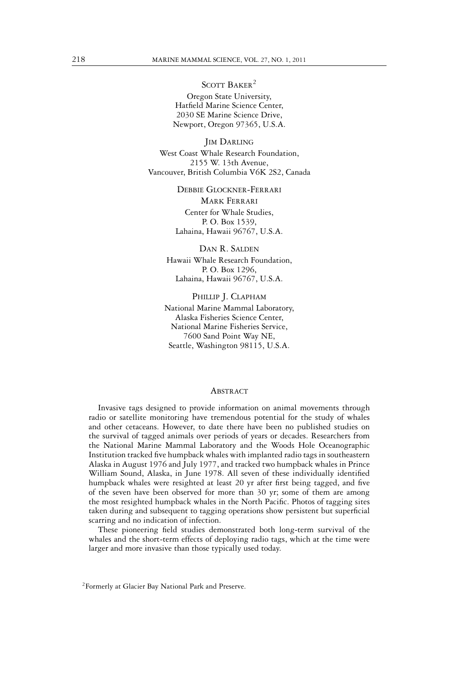SCOTT BAKER<sup>2</sup>

Oregon State University, Hatfield Marine Science Center, 2030 SE Marine Science Drive, Newport, Oregon 97365, U.S.A.

**JIM DARLING** West Coast Whale Research Foundation, 2155 W. 13th Avenue, Vancouver, British Columbia V6K 2S2, Canada

> DEBBIE GLOCKNER-FERRARI MARK FERRARI Center for Whale Studies, P. O. Box 1539, Lahaina, Hawaii 96767, U.S.A.

DAN R. SALDEN Hawaii Whale Research Foundation, P. O. Box 1296, Lahaina, Hawaii 96767, U.S.A.

PHILLIP J. CLAPHAM National Marine Mammal Laboratory, Alaska Fisheries Science Center, National Marine Fisheries Service, 7600 Sand Point Way NE, Seattle, Washington 98115, U.S.A.

### **ABSTRACT**

Invasive tags designed to provide information on animal movements through radio or satellite monitoring have tremendous potential for the study of whales and other cetaceans. However, to date there have been no published studies on the survival of tagged animals over periods of years or decades. Researchers from the National Marine Mammal Laboratory and the Woods Hole Oceanographic Institution tracked five humpback whales with implanted radio tags in southeastern Alaska in August 1976 and July 1977, and tracked two humpback whales in Prince William Sound, Alaska, in June 1978. All seven of these individually identified humpback whales were resighted at least 20 yr after first being tagged, and five of the seven have been observed for more than 30 yr; some of them are among the most resighted humpback whales in the North Pacific. Photos of tagging sites taken during and subsequent to tagging operations show persistent but superficial scarring and no indication of infection.

These pioneering field studies demonstrated both long-term survival of the whales and the short-term effects of deploying radio tags, which at the time were larger and more invasive than those typically used today.

<sup>&</sup>lt;sup>2</sup>Formerly at Glacier Bay National Park and Preserve.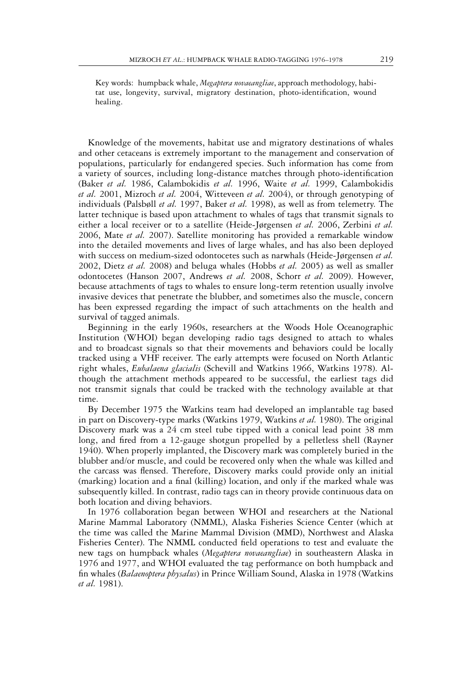Key words: humpback whale, *Megaptera novaeangliae*, approach methodology, habitat use, longevity, survival, migratory destination, photo-identification, wound healing.

Knowledge of the movements, habitat use and migratory destinations of whales and other cetaceans is extremely important to the management and conservation of populations, particularly for endangered species. Such information has come from a variety of sources, including long-distance matches through photo-identification (Baker *et al.* 1986, Calambokidis *et al.* 1996, Waite *et al.* 1999, Calambokidis *et al.* 2001, Mizroch *et al.* 2004, Witteveen *et al.* 2004), or through genotyping of individuals (Palsbøll *et al.* 1997, Baker *et al.* 1998), as well as from telemetry. The latter technique is based upon attachment to whales of tags that transmit signals to either a local receiver or to a satellite (Heide-Jørgensen *et al.* 2006, Zerbini *et al.* 2006, Mate *et al.* 2007). Satellite monitoring has provided a remarkable window into the detailed movements and lives of large whales, and has also been deployed with success on medium-sized odontocetes such as narwhals (Heide-Jørgensen *et al.* 2002, Dietz *et al.* 2008) and beluga whales (Hobbs *et al.* 2005) as well as smaller odontocetes (Hanson 2007, Andrews *et al.* 2008, Schorr *et al.* 2009). However, because attachments of tags to whales to ensure long-term retention usually involve invasive devices that penetrate the blubber, and sometimes also the muscle, concern has been expressed regarding the impact of such attachments on the health and survival of tagged animals.

Beginning in the early 1960s, researchers at the Woods Hole Oceanographic Institution (WHOI) began developing radio tags designed to attach to whales and to broadcast signals so that their movements and behaviors could be locally tracked using a VHF receiver. The early attempts were focused on North Atlantic right whales, *Eubalaena glacialis* (Schevill and Watkins 1966, Watkins 1978). Although the attachment methods appeared to be successful, the earliest tags did not transmit signals that could be tracked with the technology available at that time.

By December 1975 the Watkins team had developed an implantable tag based in part on Discovery-type marks (Watkins 1979, Watkins *et al.* 1980). The original Discovery mark was a 24 cm steel tube tipped with a conical lead point 38 mm long, and fired from a 12-gauge shotgun propelled by a pelletless shell (Rayner 1940). When properly implanted, the Discovery mark was completely buried in the blubber and/or muscle, and could be recovered only when the whale was killed and the carcass was flensed. Therefore, Discovery marks could provide only an initial (marking) location and a final (killing) location, and only if the marked whale was subsequently killed. In contrast, radio tags can in theory provide continuous data on both location and diving behaviors.

In 1976 collaboration began between WHOI and researchers at the National Marine Mammal Laboratory (NMML), Alaska Fisheries Science Center (which at the time was called the Marine Mammal Division (MMD), Northwest and Alaska Fisheries Center). The NMML conducted field operations to test and evaluate the new tags on humpback whales (*Megaptera novaeangliae*) in southeastern Alaska in 1976 and 1977, and WHOI evaluated the tag performance on both humpback and fin whales (*Balaenoptera physalus*) in Prince William Sound, Alaska in 1978 (Watkins *et al.* 1981).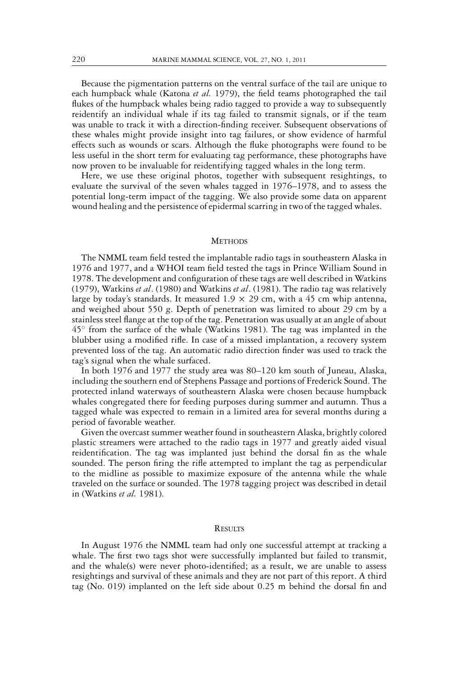Because the pigmentation patterns on the ventral surface of the tail are unique to each humpback whale (Katona *et al.* 1979), the field teams photographed the tail flukes of the humpback whales being radio tagged to provide a way to subsequently reidentify an individual whale if its tag failed to transmit signals, or if the team was unable to track it with a direction-finding receiver. Subsequent observations of these whales might provide insight into tag failures, or show evidence of harmful effects such as wounds or scars. Although the fluke photographs were found to be less useful in the short term for evaluating tag performance, these photographs have now proven to be invaluable for reidentifying tagged whales in the long term.

Here, we use these original photos, together with subsequent resightings, to evaluate the survival of the seven whales tagged in 1976–1978, and to assess the potential long-term impact of the tagging. We also provide some data on apparent wound healing and the persistence of epidermal scarring in two of the tagged whales.

#### **METHODS**

The NMML team field tested the implantable radio tags in southeastern Alaska in 1976 and 1977, and a WHOI team field tested the tags in Prince William Sound in 1978. The development and configuration of these tags are well described in Watkins (1979), Watkins *et al*. (1980) and Watkins *et al*. (1981). The radio tag was relatively large by today's standards. It measured  $1.9 \times 29$  cm, with a 45 cm whip antenna, and weighed about 550 g. Depth of penetration was limited to about 29 cm by a stainless steel flange at the top of the tag. Penetration was usually at an angle of about  $45^\circ$  from the surface of the whale (Watkins 1981). The tag was implanted in the blubber using a modified rifle. In case of a missed implantation, a recovery system prevented loss of the tag. An automatic radio direction finder was used to track the tag's signal when the whale surfaced.

In both 1976 and 1977 the study area was 80–120 km south of Juneau, Alaska, including the southern end of Stephens Passage and portions of Frederick Sound. The protected inland waterways of southeastern Alaska were chosen because humpback whales congregated there for feeding purposes during summer and autumn. Thus a tagged whale was expected to remain in a limited area for several months during a period of favorable weather.

Given the overcast summer weather found in southeastern Alaska, brightly colored plastic streamers were attached to the radio tags in 1977 and greatly aided visual reidentification. The tag was implanted just behind the dorsal fin as the whale sounded. The person firing the rifle attempted to implant the tag as perpendicular to the midline as possible to maximize exposure of the antenna while the whale traveled on the surface or sounded. The 1978 tagging project was described in detail in (Watkins *et al.* 1981).

#### **RESULTS**

In August 1976 the NMML team had only one successful attempt at tracking a whale. The first two tags shot were successfully implanted but failed to transmit, and the whale(s) were never photo-identified; as a result, we are unable to assess resightings and survival of these animals and they are not part of this report. A third tag (No. 019) implanted on the left side about 0.25 m behind the dorsal fin and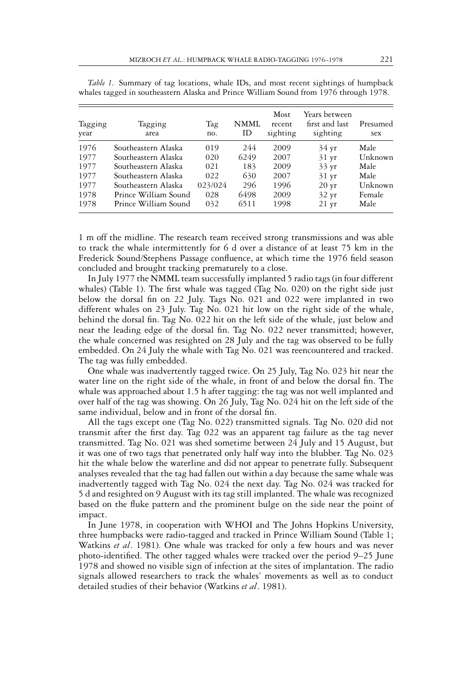| Tagging<br>year | Tagging<br>area      | Tag<br>no. | NMML<br>ΙD | Most<br>recent<br>sighting | Years between<br>first and last<br>sighting | Presumed<br>sex |
|-----------------|----------------------|------------|------------|----------------------------|---------------------------------------------|-----------------|
| 1976            | Southeastern Alaska  | 019        | 244        | 2009                       | $34 \text{ yr}$                             | Male            |
| 1977            | Southeastern Alaska  | 020        | 6249       | 2007                       | $31 \text{ yr}$                             | Unknown         |
| 1977            | Southeastern Alaska  | 021        | 183        | 2009                       | $33 \text{ yr}$                             | Male            |
| 1977            | Southeastern Alaska  | 022        | 630        | 2007                       | $31 \text{ yr}$                             | Male            |
| 1977            | Southeastern Alaska  | 023/024    | 296        | 1996                       | $20 \text{ yr}$                             | Unknown         |
| 1978            | Prince William Sound | 028        | 6498       | 2009                       | $32 \text{ yr}$                             | Female          |
| 1978            | Prince William Sound | 032        | 6511       | 1998                       | $21 \text{ yr}$                             | Male            |

*Table 1.* Summary of tag locations, whale IDs, and most recent sightings of humpback whales tagged in southeastern Alaska and Prince William Sound from 1976 through 1978.

1 m off the midline. The research team received strong transmissions and was able to track the whale intermittently for 6 d over a distance of at least 75 km in the Frederick Sound/Stephens Passage confluence, at which time the 1976 field season concluded and brought tracking prematurely to a close.

In July 1977 the NMML team successfully implanted 5 radio tags (in four different whales) (Table 1). The first whale was tagged (Tag No. 020) on the right side just below the dorsal fin on 22 July. Tags No. 021 and 022 were implanted in two different whales on 23 July. Tag No. 021 hit low on the right side of the whale, behind the dorsal fin. Tag No. 022 hit on the left side of the whale, just below and near the leading edge of the dorsal fin. Tag No. 022 never transmitted; however, the whale concerned was resighted on 28 July and the tag was observed to be fully embedded. On 24 July the whale with Tag No. 021 was reencountered and tracked. The tag was fully embedded.

One whale was inadvertently tagged twice. On 25 July, Tag No. 023 hit near the water line on the right side of the whale, in front of and below the dorsal fin. The whale was approached about 1.5 h after tagging: the tag was not well implanted and over half of the tag was showing. On 26 July, Tag No. 024 hit on the left side of the same individual, below and in front of the dorsal fin.

All the tags except one (Tag No. 022) transmitted signals. Tag No. 020 did not transmit after the first day. Tag 022 was an apparent tag failure as the tag never transmitted. Tag No. 021 was shed sometime between 24 July and 15 August, but it was one of two tags that penetrated only half way into the blubber. Tag No. 023 hit the whale below the waterline and did not appear to penetrate fully. Subsequent analyses revealed that the tag had fallen out within a day because the same whale was inadvertently tagged with Tag No. 024 the next day. Tag No. 024 was tracked for 5 d and resighted on 9 August with its tag still implanted. The whale was recognized based on the fluke pattern and the prominent bulge on the side near the point of impact.

In June 1978, in cooperation with WHOI and The Johns Hopkins University, three humpbacks were radio-tagged and tracked in Prince William Sound (Table 1; Watkins *et al*. 1981). One whale was tracked for only a few hours and was never photo-identified. The other tagged whales were tracked over the period 9–25 June 1978 and showed no visible sign of infection at the sites of implantation. The radio signals allowed researchers to track the whales' movements as well as to conduct detailed studies of their behavior (Watkins *et al*. 1981).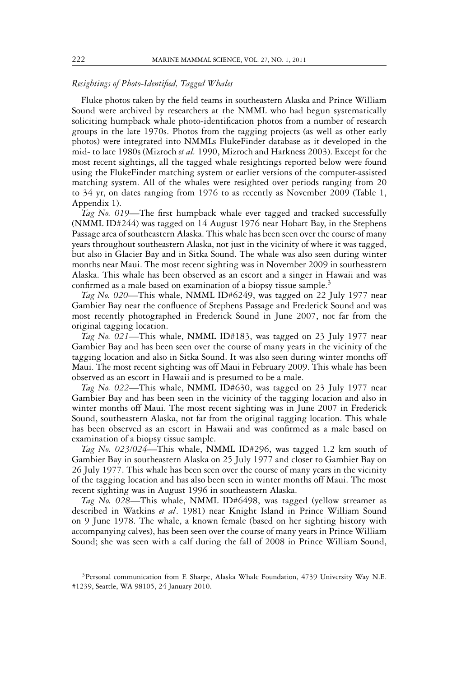#### *Resightings of Photo-Identified, Tagged Whales*

Fluke photos taken by the field teams in southeastern Alaska and Prince William Sound were archived by researchers at the NMML who had begun systematically soliciting humpback whale photo-identification photos from a number of research groups in the late 1970s. Photos from the tagging projects (as well as other early photos) were integrated into NMMLs FlukeFinder database as it developed in the mid- to late 1980s (Mizroch *et al.* 1990, Mizroch and Harkness 2003). Except for the most recent sightings, all the tagged whale resightings reported below were found using the FlukeFinder matching system or earlier versions of the computer-assisted matching system. All of the whales were resighted over periods ranging from 20 to 34 yr, on dates ranging from 1976 to as recently as November 2009 (Table 1, Appendix 1).

*Tag No. 019*—The first humpback whale ever tagged and tracked successfully (NMML ID#244) was tagged on 14 August 1976 near Hobart Bay, in the Stephens Passage area of southeastern Alaska. This whale has been seen over the course of many years throughout southeastern Alaska, not just in the vicinity of where it was tagged, but also in Glacier Bay and in Sitka Sound. The whale was also seen during winter months near Maui. The most recent sighting was in November 2009 in southeastern Alaska. This whale has been observed as an escort and a singer in Hawaii and was confirmed as a male based on examination of a biopsy tissue sample.<sup>3</sup>

*Tag No. 020*—This whale, NMML ID#6249, was tagged on 22 July 1977 near Gambier Bay near the confluence of Stephens Passage and Frederick Sound and was most recently photographed in Frederick Sound in June 2007, not far from the original tagging location.

*Tag No. 021*—This whale, NMML ID#183, was tagged on 23 July 1977 near Gambier Bay and has been seen over the course of many years in the vicinity of the tagging location and also in Sitka Sound. It was also seen during winter months off Maui. The most recent sighting was off Maui in February 2009. This whale has been observed as an escort in Hawaii and is presumed to be a male.

*Tag No. 022*—This whale, NMML ID#630, was tagged on 23 July 1977 near Gambier Bay and has been seen in the vicinity of the tagging location and also in winter months off Maui. The most recent sighting was in June 2007 in Frederick Sound, southeastern Alaska, not far from the original tagging location. This whale has been observed as an escort in Hawaii and was confirmed as a male based on examination of a biopsy tissue sample.

*Tag No. 023/024*—This whale, NMML ID#296, was tagged 1.2 km south of Gambier Bay in southeastern Alaska on 25 July 1977 and closer to Gambier Bay on 26 July 1977. This whale has been seen over the course of many years in the vicinity of the tagging location and has also been seen in winter months off Maui. The most recent sighting was in August 1996 in southeastern Alaska.

*Tag No. 028*—This whale, NMML ID#6498, was tagged (yellow streamer as described in Watkins *et al*. 1981) near Knight Island in Prince William Sound on 9 June 1978. The whale, a known female (based on her sighting history with accompanying calves), has been seen over the course of many years in Prince William Sound; she was seen with a calf during the fall of 2008 in Prince William Sound,

<sup>&</sup>lt;sup>3</sup>Personal communication from F. Sharpe, Alaska Whale Foundation, 4739 University Way N.E. #1239, Seattle, WA 98105, 24 January 2010.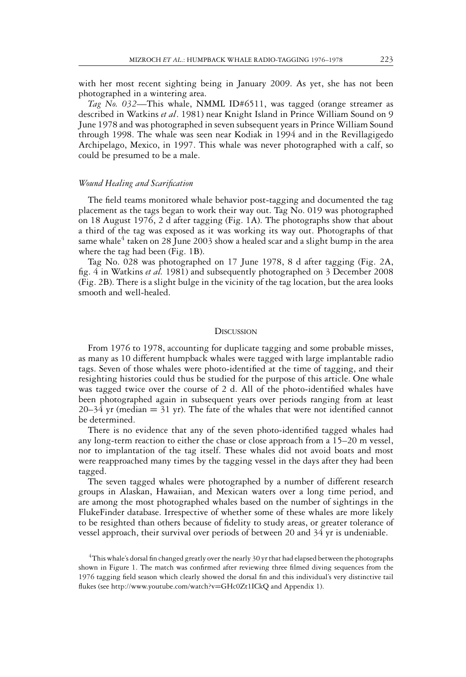with her most recent sighting being in January 2009. As yet, she has not been photographed in a wintering area.

*Tag No. 032*—This whale, NMML ID#6511, was tagged (orange streamer as described in Watkins *et al*. 1981) near Knight Island in Prince William Sound on 9 June 1978 and was photographed in seven subsequent years in Prince William Sound through 1998. The whale was seen near Kodiak in 1994 and in the Revillagigedo Archipelago, Mexico, in 1997. This whale was never photographed with a calf, so could be presumed to be a male.

#### *Wound Healing and Scarification*

The field teams monitored whale behavior post-tagging and documented the tag placement as the tags began to work their way out. Tag No. 019 was photographed on 18 August 1976, 2 d after tagging (Fig. 1A). The photographs show that about a third of the tag was exposed as it was working its way out. Photographs of that same whale $4$  taken on 28 June 2003 show a healed scar and a slight bump in the area where the tag had been (Fig. 1B).

Tag No. 028 was photographed on 17 June 1978, 8 d after tagging (Fig. 2A, fig. 4 in Watkins *et al.* 1981) and subsequently photographed on 3 December 2008 (Fig. 2B). There is a slight bulge in the vicinity of the tag location, but the area looks smooth and well-healed.

#### **DISCUSSION**

From 1976 to 1978, accounting for duplicate tagging and some probable misses, as many as 10 different humpback whales were tagged with large implantable radio tags. Seven of those whales were photo-identified at the time of tagging, and their resighting histories could thus be studied for the purpose of this article. One whale was tagged twice over the course of 2 d. All of the photo-identified whales have been photographed again in subsequent years over periods ranging from at least 20–34 yr (median  $= 31$  yr). The fate of the whales that were not identified cannot be determined.

There is no evidence that any of the seven photo-identified tagged whales had any long-term reaction to either the chase or close approach from a 15–20 m vessel, nor to implantation of the tag itself. These whales did not avoid boats and most were reapproached many times by the tagging vessel in the days after they had been tagged.

The seven tagged whales were photographed by a number of different research groups in Alaskan, Hawaiian, and Mexican waters over a long time period, and are among the most photographed whales based on the number of sightings in the FlukeFinder database. Irrespective of whether some of these whales are more likely to be resighted than others because of fidelity to study areas, or greater tolerance of vessel approach, their survival over periods of between 20 and 34 yr is undeniable.

<sup>4</sup>This whale's dorsal fin changed greatly over the nearly 30 yr that had elapsed between the photographs shown in Figure 1. The match was confirmed after reviewing three filmed diving sequences from the 1976 tagging field season which clearly showed the dorsal fin and this individual's very distinctive tail flukes (see http://www.youtube.com/watch?v=GHc0Zt1ICkQ and Appendix 1).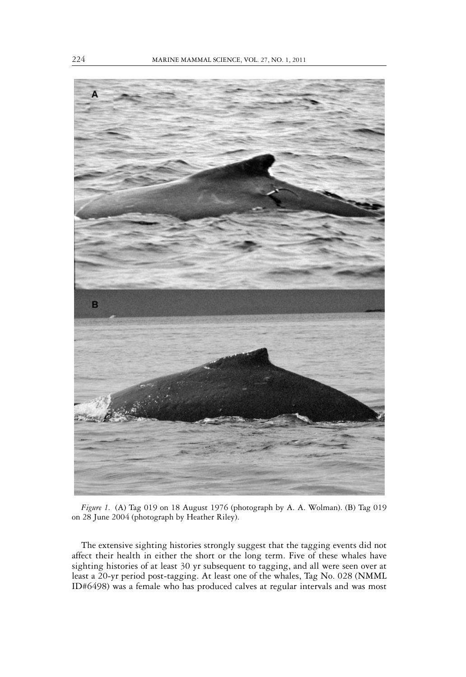

*Figure 1.* (A) Tag 019 on 18 August 1976 (photograph by A. A. Wolman). (B) Tag 019 on 28 June 2004 (photograph by Heather Riley).

The extensive sighting histories strongly suggest that the tagging events did not affect their health in either the short or the long term. Five of these whales have sighting histories of at least 30 yr subsequent to tagging, and all were seen over at least a 20-yr period post-tagging. At least one of the whales, Tag No. 028 (NMML ID#6498) was a female who has produced calves at regular intervals and was most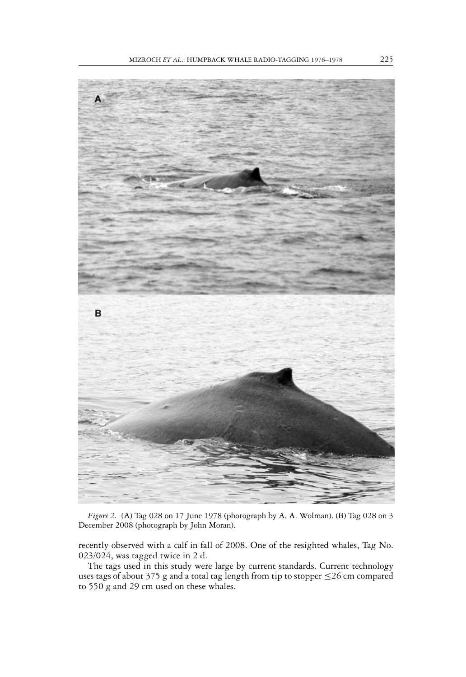

*Figure 2.* (A) Tag 028 on 17 June 1978 (photograph by A. A. Wolman). (B) Tag 028 on 3 December 2008 (photograph by John Moran).

recently observed with a calf in fall of 2008. One of the resighted whales, Tag No. 023/024, was tagged twice in 2 d.

The tags used in this study were large by current standards. Current technology uses tags of about 375 g and a total tag length from tip to stopper ≤26 cm compared to 550 g and 29 cm used on these whales.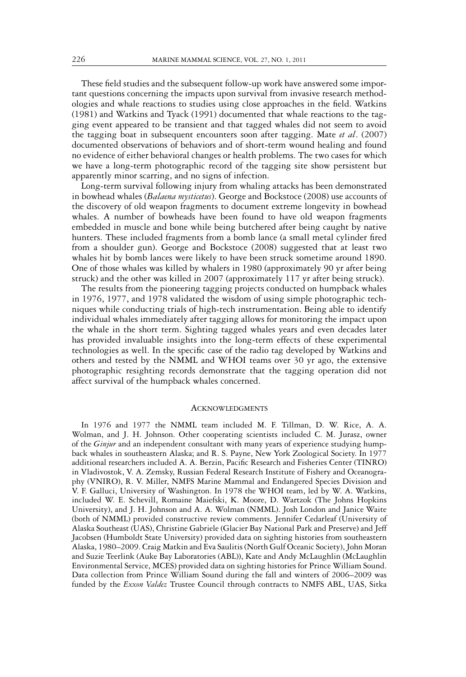These field studies and the subsequent follow-up work have answered some important questions concerning the impacts upon survival from invasive research methodologies and whale reactions to studies using close approaches in the field. Watkins (1981) and Watkins and Tyack (1991) documented that whale reactions to the tagging event appeared to be transient and that tagged whales did not seem to avoid the tagging boat in subsequent encounters soon after tagging. Mate *et al*. (2007) documented observations of behaviors and of short-term wound healing and found no evidence of either behavioral changes or health problems. The two cases for which we have a long-term photographic record of the tagging site show persistent but apparently minor scarring, and no signs of infection.

Long-term survival following injury from whaling attacks has been demonstrated in bowhead whales (*Balaena mysticetus*). George and Bockstoce (2008) use accounts of the discovery of old weapon fragments to document extreme longevity in bowhead whales. A number of bowheads have been found to have old weapon fragments embedded in muscle and bone while being butchered after being caught by native hunters. These included fragments from a bomb lance (a small metal cylinder fired from a shoulder gun). George and Bockstoce (2008) suggested that at least two whales hit by bomb lances were likely to have been struck sometime around 1890. One of those whales was killed by whalers in 1980 (approximately 90 yr after being struck) and the other was killed in 2007 (approximately 117 yr after being struck).

The results from the pioneering tagging projects conducted on humpback whales in 1976, 1977, and 1978 validated the wisdom of using simple photographic techniques while conducting trials of high-tech instrumentation. Being able to identify individual whales immediately after tagging allows for monitoring the impact upon the whale in the short term. Sighting tagged whales years and even decades later has provided invaluable insights into the long-term effects of these experimental technologies as well. In the specific case of the radio tag developed by Watkins and others and tested by the NMML and WHOI teams over 30 yr ago, the extensive photographic resighting records demonstrate that the tagging operation did not affect survival of the humpback whales concerned.

#### **ACKNOWLEDGMENTS**

In 1976 and 1977 the NMML team included M. F. Tillman, D. W. Rice, A. A. Wolman, and J. H. Johnson. Other cooperating scientists included C. M. Jurasz, owner of the *Ginjur* and an independent consultant with many years of experience studying humpback whales in southeastern Alaska; and R. S. Payne, New York Zoological Society. In 1977 additional researchers included A. A. Berzin, Pacific Research and Fisheries Center (TINRO) in Vladivostok, V. A. Zemsky, Russian Federal Research Institute of Fishery and Oceanography (VNIRO), R. V. Miller, NMFS Marine Mammal and Endangered Species Division and V. F. Galluci, University of Washington. In 1978 the WHOI team, led by W. A. Watkins, included W. E. Schevill, Romaine Maiefski, K. Moore, D. Wartzok (The Johns Hopkins University), and J. H. Johnson and A. A. Wolman (NMML). Josh London and Janice Waite (both of NMML) provided constructive review comments. Jennifer Cedarleaf (University of Alaska Southeast (UAS), Christine Gabriele (Glacier Bay National Park and Preserve) and Jeff Jacobsen (Humboldt State University) provided data on sighting histories from southeastern Alaska, 1980–2009. Craig Matkin and Eva Saulitis (North Gulf Oceanic Society), John Moran and Suzie Teerlink (Auke Bay Laboratories (ABL)), Kate and Andy McLaughlin (McLaughlin Environmental Service, MCES) provided data on sighting histories for Prince William Sound. Data collection from Prince William Sound during the fall and winters of 2006–2009 was funded by the *Exxon Valdez* Trustee Council through contracts to NMFS ABL, UAS, Sitka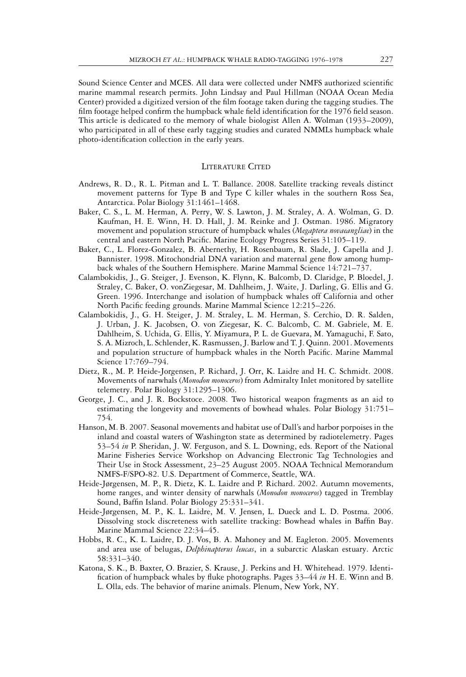Sound Science Center and MCES. All data were collected under NMFS authorized scientific marine mammal research permits. John Lindsay and Paul Hillman (NOAA Ocean Media Center) provided a digitized version of the film footage taken during the tagging studies. The film footage helped confirm the humpback whale field identification for the 1976 field season. This article is dedicated to the memory of whale biologist Allen A. Wolman (1933–2009), who participated in all of these early tagging studies and curated NMMLs humpback whale photo-identification collection in the early years.

#### LITERATURE CITED

- Andrews, R. D., R. L. Pitman and L. T. Ballance. 2008. Satellite tracking reveals distinct movement patterns for Type B and Type C killer whales in the southern Ross Sea, Antarctica. Polar Biology 31:1461–1468.
- Baker, C. S., L. M. Herman, A. Perry, W. S. Lawton, J. M. Straley, A. A. Wolman, G. D. Kaufman, H. E. Winn, H. D. Hall, J. M. Reinke and J. Ostman. 1986. Migratory movement and population structure of humpback whales (*Megaptera novaeangliae*) in the central and eastern North Pacific. Marine Ecology Progress Series 31:105–119.
- Baker, C., L. Florez-Gonzalez, B. Abernethy, H. Rosenbaum, R. Slade, J. Capella and J. Bannister. 1998. Mitochondrial DNA variation and maternal gene flow among humpback whales of the Southern Hemisphere. Marine Mammal Science 14:721–737.
- Calambokidis, J., G. Steiger, J. Evenson, K. Flynn, K. Balcomb, D. Claridge, P. Bloedel, J. Straley, C. Baker, O. vonZiegesar, M. Dahlheim, J. Waite, J. Darling, G. Ellis and G. Green. 1996. Interchange and isolation of humpback whales off California and other North Pacific feeding grounds. Marine Mammal Science 12:215–226.
- Calambokidis, J., G. H. Steiger, J. M. Straley, L. M. Herman, S. Cerchio, D. R. Salden, J. Urban, J. K. Jacobsen, O. von Ziegesar, K. C. Balcomb, C. M. Gabriele, M. E. Dahlheim, S. Uchida, G. Ellis, Y. Miyamura, P. L. de Guevara, M. Yamaguchi, F. Sato, S. A. Mizroch, L. Schlender, K. Rasmussen, J. Barlow and T. J. Quinn. 2001. Movements and population structure of humpback whales in the North Pacific. Marine Mammal Science 17:769–794.
- Dietz, R., M. P. Heide-Jorgensen, P. Richard, J. Orr, K. Laidre and H. C. Schmidt. 2008. Movements of narwhals (*Monodon monoceros*) from Admiralty Inlet monitored by satellite telemetry. Polar Biology 31:1295–1306.
- George, J. C., and J. R. Bockstoce. 2008. Two historical weapon fragments as an aid to estimating the longevity and movements of bowhead whales. Polar Biology 31:751– 754.
- Hanson, M. B. 2007. Seasonal movements and habitat use of Dall's and harbor porpoises in the inland and coastal waters of Washington state as determined by radiotelemetry. Pages 53–54 *in* P. Sheridan, J. W. Ferguson, and S. L. Downing, eds. Report of the National Marine Fisheries Service Workshop on Advancing Electronic Tag Technologies and Their Use in Stock Assessment, 23–25 August 2005. NOAA Technical Memorandum NMFS-F/SPO-82. U.S. Department of Commerce, Seattle, WA.
- Heide-Jørgensen, M. P., R. Dietz, K. L. Laidre and P. Richard. 2002. Autumn movements, home ranges, and winter density of narwhals (*Monodon monoceros*) tagged in Tremblay Sound, Baffin Island. Polar Biology 25:331–341.
- Heide-Jørgensen, M. P., K. L. Laidre, M. V. Jensen, L. Dueck and L. D. Postma. 2006. Dissolving stock discreteness with satellite tracking: Bowhead whales in Baffin Bay. Marine Mammal Science 22:34–45.
- Hobbs, R. C., K. L. Laidre, D. J. Vos, B. A. Mahoney and M. Eagleton. 2005. Movements and area use of belugas, *Delphinapterus leucas*, in a subarctic Alaskan estuary. Arctic 58:331–340.
- Katona, S. K., B. Baxter, O. Brazier, S. Krause, J. Perkins and H. Whitehead. 1979. Identification of humpback whales by fluke photographs. Pages 33–44 *in* H. E. Winn and B. L. Olla, eds. The behavior of marine animals. Plenum, New York, NY.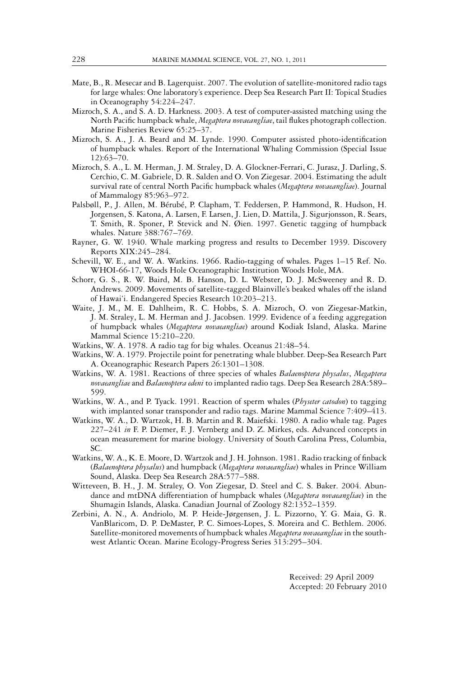- Mate, B., R. Mesecar and B. Lagerquist. 2007. The evolution of satellite-monitored radio tags for large whales: One laboratory's experience. Deep Sea Research Part II: Topical Studies in Oceanography 54:224–247.
- Mizroch, S. A., and S. A. D. Harkness. 2003. A test of computer-assisted matching using the North Pacific humpback whale, *Megaptera novaeangliae*, tail flukes photograph collection. Marine Fisheries Review 65:25–37.
- Mizroch, S. A., J. A. Beard and M. Lynde. 1990. Computer assisted photo-identification of humpback whales. Report of the International Whaling Commission (Special Issue 12):63–70.
- Mizroch, S. A., L. M. Herman, J. M. Straley, D. A. Glockner-Ferrari, C. Jurasz, J. Darling, S. Cerchio, C. M. Gabriele, D. R. Salden and O. Von Ziegesar. 2004. Estimating the adult survival rate of central North Pacific humpback whales (*Megaptera novaeangliae*). Journal of Mammalogy 85:963–972.
- Palsbøll, P., J. Allen, M. Bérubé, P. Clapham, T. Feddersen, P. Hammond, R. Hudson, H. Jorgensen, S. Katona, A. Larsen, F. Larsen, J. Lien, D. Mattila, J. Sigurjonsson, R. Sears, T. Smith, R. Sponer, P. Stevick and N. Øien. 1997. Genetic tagging of humpback whales. Nature 388:767–769.
- Rayner, G. W. 1940. Whale marking progress and results to December 1939. Discovery Reports XIX:245–284.
- Schevill, W. E., and W. A. Watkins. 1966. Radio-tagging of whales. Pages 1–15 Ref. No. WHOI-66-17, Woods Hole Oceanographic Institution Woods Hole, MA.
- Schorr, G. S., R. W. Baird, M. B. Hanson, D. L. Webster, D. J. McSweeney and R. D. Andrews. 2009. Movements of satellite-tagged Blainville's beaked whales off the island of Hawai'i. Endangered Species Research 10:203–213.
- Waite, J. M., M. E. Dahlheim, R. C. Hobbs, S. A. Mizroch, O. von Ziegesar-Matkin, J. M. Straley, L. M. Herman and J. Jacobsen. 1999. Evidence of a feeding aggregation of humpback whales (*Megaptera novaeangliae*) around Kodiak Island, Alaska. Marine Mammal Science 15:210–220.
- Watkins, W. A. 1978. A radio tag for big whales. Oceanus 21:48–54.
- Watkins, W. A. 1979. Projectile point for penetrating whale blubber. Deep-Sea Research Part A. Oceanographic Research Papers 26:1301–1308.
- Watkins, W. A. 1981. Reactions of three species of whales *Balaenoptera physalus*, *Megaptera novaeangliae* and *Balaenoptera edeni* to implanted radio tags. Deep Sea Research 28A:589– 599.
- Watkins, W. A., and P. Tyack. 1991. Reaction of sperm whales (*Physeter catodon*) to tagging with implanted sonar transponder and radio tags. Marine Mammal Science 7:409-413.
- Watkins, W. A., D. Wartzok, H. B. Martin and R. Maiefski. 1980. A radio whale tag. Pages 227–241 *in* F. P. Diemer, F. J. Vernberg and D. Z. Mirkes, eds. Advanced concepts in ocean measurement for marine biology. University of South Carolina Press, Columbia, SC.
- Watkins, W. A., K. E. Moore, D. Wartzok and J. H. Johnson. 1981. Radio tracking of finback (*Balaenoptera physalus*) and humpback (*Megaptera novaeangliae*) whales in Prince William Sound, Alaska. Deep Sea Research 28A:577–588.
- Witteveen, B. H., J. M. Straley, O. Von Ziegesar, D. Steel and C. S. Baker. 2004. Abundance and mtDNA differentiation of humpback whales (*Megaptera novaeangliae*) in the Shumagin Islands, Alaska. Canadian Journal of Zoology 82:1352–1359.
- Zerbini, A. N., A. Andriolo, M. P. Heide-Jørgensen, J. L. Pizzorno, Y. G. Maia, G. R. VanBlaricom, D. P. DeMaster, P. C. Simoes-Lopes, S. Moreira and C. Bethlem. 2006. Satellite-monitored movements of humpback whales *Megaptera novaeangliae* in the southwest Atlantic Ocean. Marine Ecology-Progress Series 313:295–304.